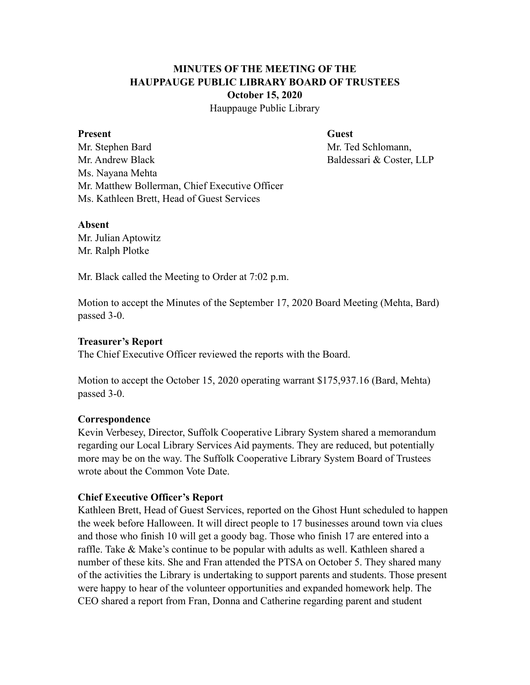# **MINUTES OF THE MEETING OF THE HAUPPAUGE PUBLIC LIBRARY BOARD OF TRUSTEES October 15, 2020**

Hauppauge Public Library

#### Present Guest

Mr. Stephen Bard Mr. Ted Schlomann, Mr. Andrew Black Baldessari & Coster, LLP Ms. Nayana Mehta Mr. Matthew Bollerman, Chief Executive Officer Ms. Kathleen Brett, Head of Guest Services

#### **Absent**

Mr. Julian Aptowitz Mr. Ralph Plotke

Mr. Black called the Meeting to Order at 7:02 p.m.

Motion to accept the Minutes of the September 17, 2020 Board Meeting (Mehta, Bard) passed 3-0.

### **Treasurer's Report**

The Chief Executive Officer reviewed the reports with the Board.

Motion to accept the October 15, 2020 operating warrant \$175,937.16 (Bard, Mehta) passed 3-0.

# **Correspondence**

Kevin Verbesey, Director, Suffolk Cooperative Library System shared a memorandum regarding our Local Library Services Aid payments. They are reduced, but potentially more may be on the way. The Suffolk Cooperative Library System Board of Trustees wrote about the Common Vote Date.

# **Chief Executive Officer's Report**

Kathleen Brett, Head of Guest Services, reported on the Ghost Hunt scheduled to happen the week before Halloween. It will direct people to 17 businesses around town via clues and those who finish 10 will get a goody bag. Those who finish 17 are entered into a raffle. Take & Make's continue to be popular with adults as well. Kathleen shared a number of these kits. She and Fran attended the PTSA on October 5. They shared many of the activities the Library is undertaking to support parents and students. Those present were happy to hear of the volunteer opportunities and expanded homework help. The CEO shared a report from Fran, Donna and Catherine regarding parent and student